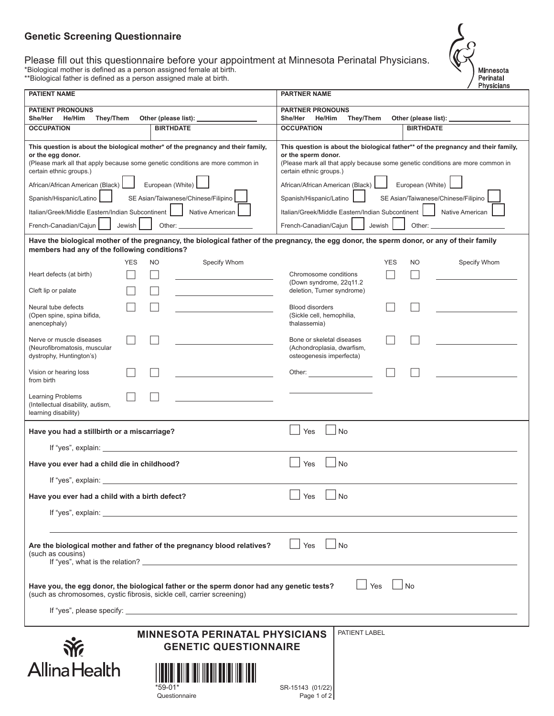## **Genetic Screening Questionnaire**

Please fill out this questionnaire before your appointment at Minnesota Perinatal Physicians. \*Biological mother is defined as a person assigned female at birth. \*\*Biological father is defined as a person assigned male at birth.



| <b>PATIENT NAME</b>                                                                                                                                                                                                                                                                       | <b>FligSicialis</b><br><b>PARTNER NAME</b>                                                                                                                                                                                                                              |  |  |  |
|-------------------------------------------------------------------------------------------------------------------------------------------------------------------------------------------------------------------------------------------------------------------------------------------|-------------------------------------------------------------------------------------------------------------------------------------------------------------------------------------------------------------------------------------------------------------------------|--|--|--|
| <b>PATIENT PRONOUNS</b><br>They/Them<br>She/Her<br>He/Him<br>Other (please list): _                                                                                                                                                                                                       | <b>PARTNER PRONOUNS</b><br>They/Them<br>She/Her<br>He/Him<br>Other (please list): __                                                                                                                                                                                    |  |  |  |
| <b>OCCUPATION</b><br><b>BIRTHDATE</b>                                                                                                                                                                                                                                                     | <b>OCCUPATION</b><br><b>BIRTHDATE</b>                                                                                                                                                                                                                                   |  |  |  |
|                                                                                                                                                                                                                                                                                           |                                                                                                                                                                                                                                                                         |  |  |  |
| This question is about the biological mother* of the pregnancy and their family,<br>or the egg donor.<br>(Please mark all that apply because some genetic conditions are more common in<br>certain ethnic groups.)                                                                        | This question is about the biological father** of the pregnancy and their family,<br>or the sperm donor.<br>(Please mark all that apply because some genetic conditions are more common in<br>certain ethnic groups.)                                                   |  |  |  |
| European (White)<br>African/African American (Black)                                                                                                                                                                                                                                      | European (White)<br>African/African American (Black)                                                                                                                                                                                                                    |  |  |  |
| Spanish/Hispanic/Latino<br>SE Asian/Taiwanese/Chinese/Filipino                                                                                                                                                                                                                            | SE Asian/Taiwanese/Chinese/Filipino<br>Spanish/Hispanic/Latino                                                                                                                                                                                                          |  |  |  |
| Italian/Greek/Middle Eastern/Indian Subcontinent<br>Native American                                                                                                                                                                                                                       | Italian/Greek/Middle Eastern/Indian Subcontinent  <br>Native American                                                                                                                                                                                                   |  |  |  |
| Jewish<br>French-Canadian/Cajun                                                                                                                                                                                                                                                           | French-Canadian/Cajun<br>Jewish<br>Other: <u>with the contract of the contract of the contract of the contract of the contract of the contract of the contract of the contract of the contract of the contract of the contract of the contract of the contract of t</u> |  |  |  |
| Have the biological mother of the pregnancy, the biological father of the pregnancy, the egg donor, the sperm donor, or any of their family<br>members had any of the following conditions?                                                                                               |                                                                                                                                                                                                                                                                         |  |  |  |
| Specify Whom<br><b>YES</b><br>NO.                                                                                                                                                                                                                                                         | <b>YES</b><br><b>NO</b><br>Specify Whom                                                                                                                                                                                                                                 |  |  |  |
| Heart defects (at birth)<br><u> 1989 - Johann Barbara, martxa a</u>                                                                                                                                                                                                                       | Chromosome conditions                                                                                                                                                                                                                                                   |  |  |  |
| Cleft lip or palate                                                                                                                                                                                                                                                                       | (Down syndrome, 22q11.2<br>deletion, Turner syndrome)                                                                                                                                                                                                                   |  |  |  |
| Neural tube defects                                                                                                                                                                                                                                                                       | <b>Blood disorders</b>                                                                                                                                                                                                                                                  |  |  |  |
| (Open spine, spina bifida,<br>anencephaly)                                                                                                                                                                                                                                                | (Sickle cell, hemophilia,<br>thalassemia)                                                                                                                                                                                                                               |  |  |  |
| Nerve or muscle diseases                                                                                                                                                                                                                                                                  | Bone or skeletal diseases                                                                                                                                                                                                                                               |  |  |  |
| (Neurofibromatosis, muscular<br>dystrophy, Huntington's)                                                                                                                                                                                                                                  | (Achondroplasia, dwarfism,<br>osteogenesis imperfecta)                                                                                                                                                                                                                  |  |  |  |
| Vision or hearing loss<br>from birth                                                                                                                                                                                                                                                      | Other:                                                                                                                                                                                                                                                                  |  |  |  |
| <b>Learning Problems</b><br>(Intellectual disability, autism,<br>learning disability)                                                                                                                                                                                                     |                                                                                                                                                                                                                                                                         |  |  |  |
| Have you had a stillbirth or a miscarriage?                                                                                                                                                                                                                                               | No<br>Yes                                                                                                                                                                                                                                                               |  |  |  |
|                                                                                                                                                                                                                                                                                           |                                                                                                                                                                                                                                                                         |  |  |  |
| Have you ever had a child die in childhood?                                                                                                                                                                                                                                               | No<br>Yes                                                                                                                                                                                                                                                               |  |  |  |
| If "yes", explain: $\sqrt{2\pi}$ explaint $\frac{1}{2}$ is the set of the set of the set of the set of the set of the set of the set of the set of the set of the set of the set of the set of the set of the set of the set of the s                                                     |                                                                                                                                                                                                                                                                         |  |  |  |
| Have you ever had a child with a birth defect?                                                                                                                                                                                                                                            | $\overline{\phantom{0}}$<br>$\overline{\phantom{0}}$<br>No<br>Yes                                                                                                                                                                                                       |  |  |  |
| If "yes", explain: $\sqrt{2\pi}$ and $\sqrt{2\pi}$ and $\sqrt{2\pi}$ and $\sqrt{2\pi}$ and $\sqrt{2\pi}$ and $\sqrt{2\pi}$ and $\sqrt{2\pi}$ and $\sqrt{2\pi}$ and $\sqrt{2\pi}$ and $\sqrt{2\pi}$ and $\sqrt{2\pi}$ and $\sqrt{2\pi}$ and $\sqrt{2\pi}$ and $\sqrt{2\pi}$ and $\sqrt{2\$ |                                                                                                                                                                                                                                                                         |  |  |  |
|                                                                                                                                                                                                                                                                                           |                                                                                                                                                                                                                                                                         |  |  |  |
| $ $ No<br>Are the biological mother and father of the pregnancy blood relatives?<br>Yes<br>(such as cousins)                                                                                                                                                                              |                                                                                                                                                                                                                                                                         |  |  |  |
| l No<br>Yes<br>Have you, the egg donor, the biological father or the sperm donor had any genetic tests?<br>(such as chromosomes, cystic fibrosis, sickle cell, carrier screening)                                                                                                         |                                                                                                                                                                                                                                                                         |  |  |  |
|                                                                                                                                                                                                                                                                                           |                                                                                                                                                                                                                                                                         |  |  |  |
|                                                                                                                                                                                                                                                                                           |                                                                                                                                                                                                                                                                         |  |  |  |
| PATIENT LABEL<br><b>MINNESOTA PERINATAL PHYSICIANS</b>                                                                                                                                                                                                                                    |                                                                                                                                                                                                                                                                         |  |  |  |
| <b>GENETIC QUESTIONNAIRE</b>                                                                                                                                                                                                                                                              |                                                                                                                                                                                                                                                                         |  |  |  |
| Allina Health                                                                                                                                                                                                                                                                             |                                                                                                                                                                                                                                                                         |  |  |  |
|                                                                                                                                                                                                                                                                                           | SR-15143 (01/22)                                                                                                                                                                                                                                                        |  |  |  |

Page 1 of  $2$ 

**Questionnaire**